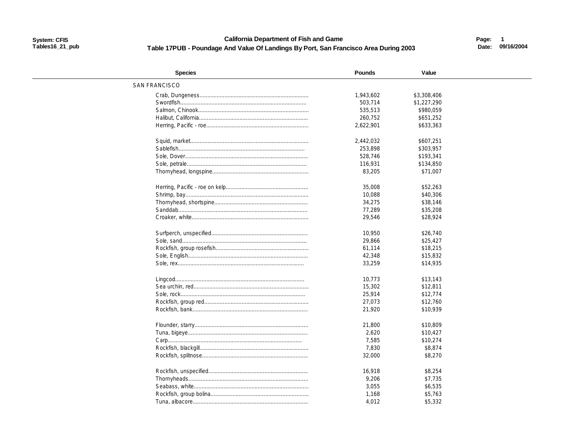#### **California Department of Fish and Game** Table 17PUB - Poundage And Value Of Landings By Port, San Francisco Area During 2003

Page: 1 Date: 09/16/2004

| <b>Species</b>       | <b>Pounds</b> | Value       |  |
|----------------------|---------------|-------------|--|
| <b>SAN FRANCISCO</b> |               |             |  |
|                      | 1,943,602     | \$3,308,406 |  |
|                      | 503.714       | \$1,227,290 |  |
|                      | 535,513       | \$980,059   |  |
|                      | 260,752       | \$651,252   |  |
|                      | 2,622,901     | \$633,363   |  |
|                      | 2,442,032     | \$607.251   |  |
|                      |               |             |  |
|                      | 253,898       | \$303,957   |  |
|                      | 528,746       | \$193,341   |  |
|                      | 116,931       | \$134,850   |  |
|                      | 83,205        | \$71,007    |  |
|                      | 35,008        | \$52,263    |  |
|                      | 10,088        | \$40,306    |  |
|                      | 34,275        | \$38,146    |  |
|                      | 77,289        | \$35,208    |  |
|                      | 29,546        | \$28,924    |  |
|                      | 10,950        | \$26,740    |  |
|                      |               |             |  |
|                      | 29,866        | \$25,427    |  |
|                      | 61,114        | \$18,215    |  |
|                      | 42,348        | \$15,832    |  |
|                      | 33,259        | \$14,935    |  |
|                      | 10,773        | \$13,143    |  |
|                      | 15,302        | \$12,811    |  |
|                      | 25,914        | \$12,774    |  |
|                      | 27,073        | \$12,760    |  |
|                      | 21,920        | \$10,939    |  |
|                      | 21,800        | \$10,809    |  |
|                      | 2,620         | \$10,427    |  |
|                      | 7,585         | \$10,274    |  |
|                      | 7,830         | \$8,874     |  |
|                      | 32,000        | \$8,270     |  |
|                      |               |             |  |
|                      | 16,918        | \$8,254     |  |
|                      | 9,206         | \$7,735     |  |
|                      | 3,055         | \$6,535     |  |
|                      | 1,168         | \$5,763     |  |
|                      | 4,012         | \$5,332     |  |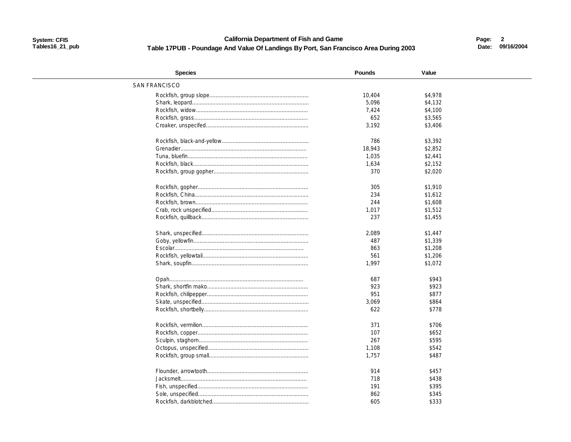#### **California Department of Fish and Game** Table 17PUB - Poundage And Value Of Landings By Port, San Francisco Area During 2003

Page: 2 Date: 09/16/2004

| <b>Species</b>       | <b>Pounds</b> | Value   |  |
|----------------------|---------------|---------|--|
| <b>SAN FRANCISCO</b> |               |         |  |
|                      | 10,404        | \$4,978 |  |
|                      | 5,096         | \$4,132 |  |
|                      | 7,424         | \$4,100 |  |
|                      | 652           | \$3,565 |  |
|                      | 3,192         | \$3,406 |  |
|                      |               |         |  |
|                      | 786           | \$3,392 |  |
|                      | 18,943        | \$2,852 |  |
|                      | 1,035         | \$2,441 |  |
|                      | 1,634         | \$2,152 |  |
|                      | 370           | \$2,020 |  |
|                      |               |         |  |
|                      | 305           | \$1,910 |  |
|                      | 234           | \$1,612 |  |
|                      | 244           | \$1,608 |  |
|                      | 1,017         | \$1,512 |  |
|                      | 237           | \$1,455 |  |
|                      | 2,089         | \$1,447 |  |
|                      |               |         |  |
|                      | 487           | \$1,339 |  |
|                      | 863           | \$1,208 |  |
|                      | 561           | \$1,206 |  |
|                      | 1.997         | \$1,072 |  |
|                      | 687           | \$943   |  |
|                      | 923           | \$923   |  |
|                      | 951           | \$877   |  |
|                      | 3,069         | \$864   |  |
|                      | 622           | \$778   |  |
|                      |               |         |  |
|                      | 371           | \$706   |  |
|                      | 107           | \$652   |  |
|                      | 267           | \$595   |  |
|                      | 1,108         | \$542   |  |
|                      | 1,757         | \$487   |  |
|                      |               |         |  |
|                      | 914           | \$457   |  |
|                      | 718           | \$438   |  |
|                      | 191           | \$395   |  |
|                      | 862           | \$345   |  |
|                      | 605           | \$333   |  |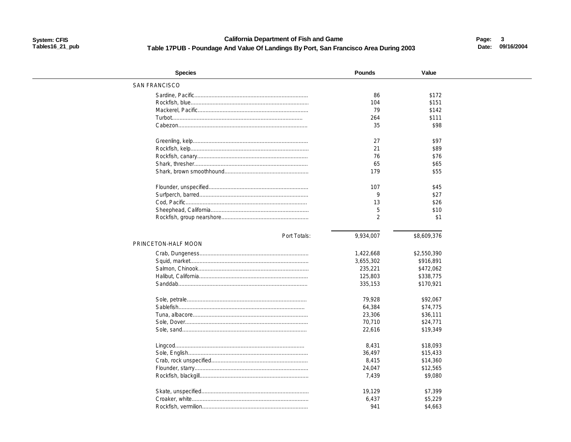#### **California Department of Fish and Game** Table 17PUB - Poundage And Value Of Landings By Port, San Francisco Area During 2003

Page: 3 Date: 09/16/2004

| <b>Species</b>       | <b>Pounds</b>  | Value       |  |
|----------------------|----------------|-------------|--|
| <b>SAN FRANCISCO</b> |                |             |  |
|                      | 86             | \$172       |  |
|                      | 104            | \$151       |  |
|                      | 79             | \$142       |  |
|                      | 264            | \$111       |  |
|                      | 35             | \$98        |  |
|                      |                |             |  |
|                      | 27             | \$97        |  |
|                      | 21             | \$89        |  |
|                      | 76             | \$76        |  |
|                      | 65             | \$65        |  |
|                      | 179            | \$55        |  |
|                      |                |             |  |
|                      | 107            | \$45        |  |
|                      | 9              | \$27        |  |
|                      | 13             | \$26        |  |
|                      | 5              | \$10        |  |
|                      | $\overline{2}$ | \$1         |  |
|                      |                |             |  |
| Port Totals:         | 9,934,007      | \$8,609,376 |  |
| PRINCETON-HALF MOON  |                |             |  |
|                      | 1,422,668      | \$2,550,390 |  |
|                      | 3,655,302      | \$916,891   |  |
|                      | 235,221        | \$472,062   |  |
|                      | 125,803        | \$338,775   |  |
|                      | 335,153        | \$170,921   |  |
|                      |                |             |  |
|                      | 79.928         | \$92.067    |  |
|                      | 64,384         | \$74,775    |  |
|                      | 23,306         | \$36,111    |  |
|                      | 70,710         | \$24,771    |  |
|                      | 22,616         | \$19,349    |  |
|                      |                |             |  |
|                      | 8,431          | \$18,093    |  |
|                      | 36,497         | \$15,433    |  |
|                      | 8,415          | \$14,360    |  |
|                      | 24,047         | \$12,565    |  |
|                      | 7.439          | \$9,080     |  |
|                      | 19,129         | \$7,399     |  |
|                      | 6,437          | \$5,229     |  |
|                      | 941            | \$4,663     |  |
|                      |                |             |  |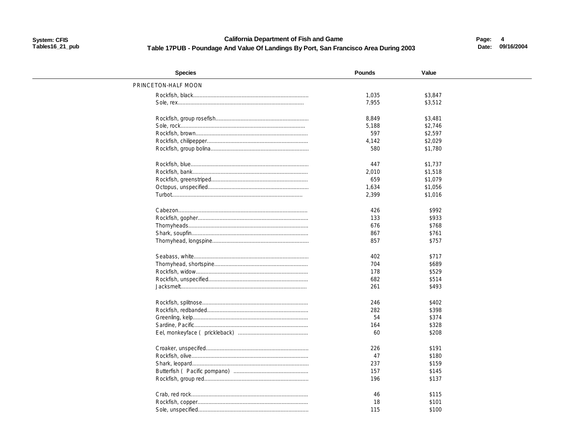**California Department of Fish and Game** Table 17PUB - Poundage And Value Of Landings By Port, San Francisco Area During 2003 Page: 4 Date: 09/16/2004

| <b>Species</b>      | <b>Pounds</b> | Value   |  |
|---------------------|---------------|---------|--|
| PRINCETON-HALF MOON |               |         |  |
|                     | 1,035         | \$3,847 |  |
|                     | 7,955         | \$3,512 |  |
|                     |               |         |  |
|                     | 8,849         | \$3,481 |  |
|                     | 5,188         | \$2,746 |  |
|                     | 597           | \$2,597 |  |
|                     | 4,142         | \$2,029 |  |
|                     | 580           | \$1,780 |  |
|                     |               |         |  |
|                     | 447           | \$1.737 |  |
|                     | 2,010         | \$1,518 |  |
|                     | 659           | \$1,079 |  |
|                     | 1,634         | \$1,056 |  |
|                     | 2,399         | \$1,016 |  |
|                     | 426           | \$992   |  |
|                     | 133           | \$933   |  |
|                     | 676           | \$768   |  |
|                     | 867           | \$761   |  |
|                     | 857           | \$757   |  |
|                     |               |         |  |
|                     | 402           | \$717   |  |
|                     | 704           | \$689   |  |
|                     | 178           | \$529   |  |
|                     | 682           | \$514   |  |
|                     | 261           | \$493   |  |
|                     |               |         |  |
|                     | 246           | \$402   |  |
|                     | 282           | \$398   |  |
|                     | 54            | \$374   |  |
|                     | 164           | \$328   |  |
|                     | 60            | \$208   |  |
|                     | 226           | \$191   |  |
|                     | 47            | \$180   |  |
|                     | 237           | \$159   |  |
|                     | 157           | \$145   |  |
|                     | 196           | \$137   |  |
|                     |               |         |  |
|                     | 46            | \$115   |  |
|                     | 18            | \$101   |  |
|                     | 115           | \$100   |  |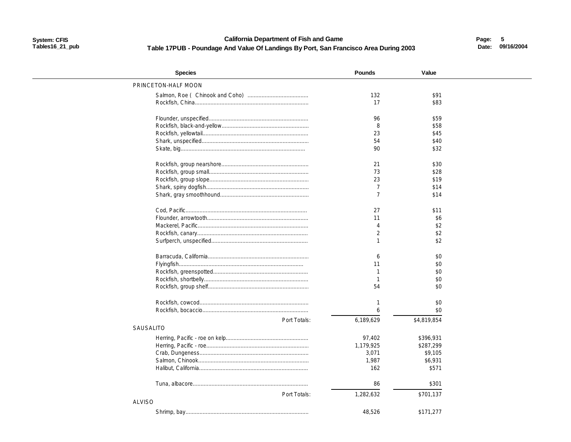#### **California Department of Fish and Game** Table 17PUB - Poundage And Value Of Landings By Port, San Francisco Area During 2003

Page: 5 Date: 09/16/2004

| <b>Species</b>      | <b>Pounds</b>  | Value       |  |
|---------------------|----------------|-------------|--|
| PRINCETON-HALF MOON |                |             |  |
|                     | 132            | \$91        |  |
|                     | 17             | \$83        |  |
|                     |                |             |  |
|                     | 96             | \$59        |  |
|                     | 8              | \$58        |  |
|                     | 23             | \$45        |  |
|                     | 54             | \$40        |  |
|                     | 90             | \$32        |  |
|                     | 21             | \$30        |  |
|                     | 73             | \$28        |  |
|                     | 23             | \$19        |  |
|                     | $\overline{7}$ | \$14        |  |
|                     | $\overline{7}$ | \$14        |  |
|                     |                |             |  |
|                     | 27             | \$11        |  |
|                     | 11             | \$6         |  |
|                     | Δ              | \$2         |  |
|                     | $\mathfrak{D}$ | \$2         |  |
|                     |                | \$2         |  |
|                     | 6              | \$0         |  |
|                     | 11             | \$0         |  |
|                     |                | \$0         |  |
|                     |                | \$0         |  |
|                     | 54             | \$0         |  |
|                     |                | \$0         |  |
|                     |                | \$0         |  |
| Port Totals:        | 6,189,629      | \$4,819,854 |  |
| <b>SAUSALITO</b>    |                |             |  |
|                     | 97,402         | \$396,931   |  |
|                     | 1,179,925      | \$287,299   |  |
|                     | 3,071          | \$9,105     |  |
|                     | 1,987          | \$6,931     |  |
|                     | 162            | \$571       |  |
|                     |                |             |  |
|                     | 86             | \$301       |  |
| Port Totals:        | 1,282,632      | \$701,137   |  |
| <b>ALVISO</b>       |                |             |  |
|                     | 48,526         | \$171.277   |  |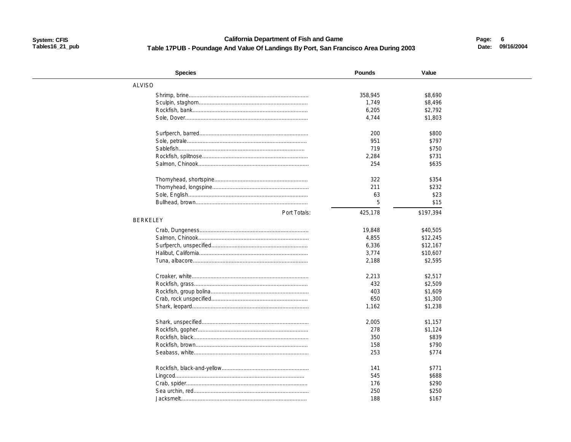### **California Department of Fish and Game** Table 17PUB - Poundage And Value Of Landings By Port, San Francisco Area During 2003

Page: 6 Date: 09/16/2004

| <b>Species</b>  | <b>Pounds</b> | Value          |  |
|-----------------|---------------|----------------|--|
| <b>ALVISO</b>   |               |                |  |
|                 | 358,945       | \$8,690        |  |
|                 | 1,749         | \$8,496        |  |
|                 | 6,205         | \$2,792        |  |
|                 | 4,744         | \$1,803        |  |
|                 | 200           | \$800          |  |
|                 | 951           | \$797          |  |
|                 | 719           |                |  |
|                 | 2,284         | \$750<br>\$731 |  |
|                 | 254           |                |  |
|                 |               | \$635          |  |
|                 | 322           | \$354          |  |
|                 | 211           | \$232          |  |
|                 | 63            | \$23           |  |
|                 | 5             | \$15           |  |
| Port Totals:    | 425,178       | \$197,394      |  |
| <b>BERKELEY</b> |               |                |  |
|                 | 19,848        | \$40,505       |  |
|                 | 4,855         | \$12,245       |  |
|                 | 6,336         | \$12,167       |  |
|                 | 3,774         | \$10,607       |  |
|                 | 2,188         | \$2,595        |  |
|                 |               |                |  |
|                 | 2,213         | \$2,517        |  |
|                 | 432           | \$2,509        |  |
|                 | 403           | \$1,609        |  |
|                 | 650           | \$1,300        |  |
|                 | 1,162         | \$1,238        |  |
|                 | 2,005         | \$1,157        |  |
|                 | 278           | \$1,124        |  |
|                 | 350           | \$839          |  |
|                 | 158           | \$790          |  |
|                 | 253           | \$774          |  |
|                 |               |                |  |
|                 | 141           | \$771          |  |
|                 | 545           | \$688          |  |
|                 | 176           | \$290          |  |
|                 | 250           | \$250          |  |
|                 | 188           | \$167          |  |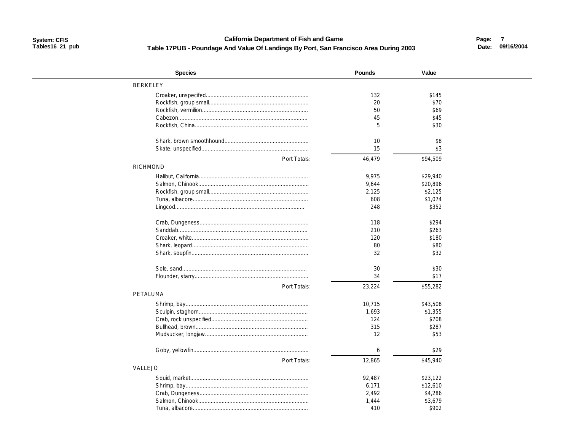**California Department of Fish and Game** Table 17PUB - Poundage And Value Of Landings By Port, San Francisco Area During 2003 Page: 7 Date: 09/16/2004

| <b>Species</b>  | Pounds   | Value    |  |
|-----------------|----------|----------|--|
| <b>BERKELEY</b> |          |          |  |
|                 | 132      | \$145    |  |
|                 | 20       | \$70     |  |
|                 | 50       | \$69     |  |
|                 | 45       | \$45     |  |
|                 | 5        | \$30     |  |
|                 |          |          |  |
|                 | 10<br>15 | \$8      |  |
|                 |          | \$3      |  |
| Port Totals:    | 46,479   | \$94,509 |  |
| <b>RICHMOND</b> |          |          |  |
|                 | 9,975    | \$29,940 |  |
|                 | 9,644    | \$20,896 |  |
|                 | 2,125    | \$2,125  |  |
|                 | 608      | \$1,074  |  |
|                 | 248      | \$352    |  |
|                 |          |          |  |
|                 | 118      | \$294    |  |
|                 | 210      | \$263    |  |
|                 | 120      | \$180    |  |
|                 | 80       | \$80     |  |
|                 | 32       | \$32     |  |
|                 |          |          |  |
|                 | 30       | \$30     |  |
|                 | 34       | \$17     |  |
| Port Totals:    | 23,224   | \$55,282 |  |
| PETALUMA        |          |          |  |
|                 | 10,715   | \$43,508 |  |
|                 | 1,693    | \$1,355  |  |
|                 | 124      | \$708    |  |
|                 | 315      | \$287    |  |
|                 | 12       | \$53     |  |
|                 |          |          |  |
|                 | 6        | \$29     |  |
| Port Totals:    | 12,865   | \$45,940 |  |
| VALLEJO         |          |          |  |
|                 | 92,487   | \$23,122 |  |
|                 | 6,171    | \$12,610 |  |
|                 | 2,492    | \$4,286  |  |
|                 | 1,444    | \$3,679  |  |
|                 | 410      | \$902    |  |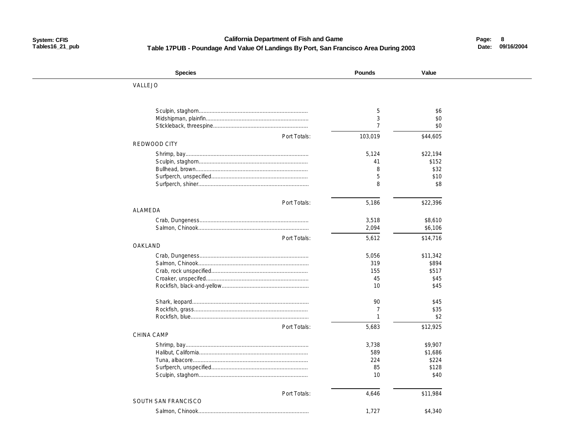### **System: CFIS California Department of Fish and Game Page: Tables16\_21\_pub Table 17PUB - Poundage And Value Of Landings By Port, San Francisco Area During 2003**

 **8 Date: 09/16/2004**

| <b>Species</b>      | <b>Pounds</b>  | Value    |  |
|---------------------|----------------|----------|--|
| VALLEJO             |                |          |  |
|                     |                |          |  |
|                     | 5              | \$6      |  |
|                     | 3              | \$0      |  |
|                     | $\overline{7}$ | \$0      |  |
| Port Totals:        | 103,019        | \$44,605 |  |
| REDWOOD CITY        |                |          |  |
|                     | 5,124          | \$22,194 |  |
|                     | 41             | \$152    |  |
|                     | 8              | \$32     |  |
|                     | 5              | \$10     |  |
|                     | 8              | \$8      |  |
|                     |                |          |  |
| Port Totals:        | 5,186          | \$22,396 |  |
| ALAMEDA             |                |          |  |
|                     | 3,518          | \$8,610  |  |
|                     | 2,094          | \$6,106  |  |
| Port Totals:        | 5,612          | \$14,716 |  |
| OAKLAND             |                |          |  |
|                     | 5,056          | \$11,342 |  |
|                     | 319            | \$894    |  |
|                     | 155            | \$517    |  |
|                     | 45             | \$45     |  |
|                     | 10             | \$45     |  |
|                     | 90             | \$45     |  |
|                     | $\overline{7}$ | \$35     |  |
|                     | $\mathbf{1}$   | \$2      |  |
| Port Totals:        | 5,683          | \$12,925 |  |
| <b>CHINA CAMP</b>   |                |          |  |
|                     | 3,738          | \$9,907  |  |
|                     | 589            | \$1,686  |  |
|                     | 224            | \$224    |  |
|                     | 85             | \$128    |  |
|                     | 10             | \$40     |  |
|                     |                |          |  |
| Port Totals:        | 4,646          | \$11,984 |  |
| SOUTH SAN FRANCISCO |                |          |  |
|                     | 1,727          | \$4,340  |  |